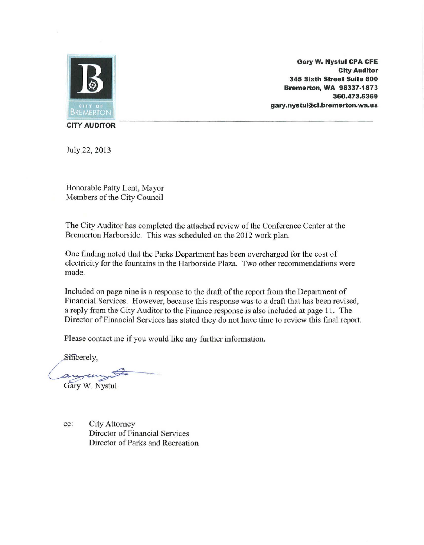

**Gary W. Nystul CPA CFE City Auditor 345 Sixth Street Suite 600 Bremerton, WA 98337-1873 360.473.5369 gary.nystul@ci.bremerton.wa.us** 

**CITY AUDITOR** 

July 22, 2013

Honorable Patty Lent, Mayor Members of the City Council

The City Auditor has completed the attached review of the Conference Center at the Bremerton Harborside. This was scheduled on the 2012 work plan.

One finding noted that the Parks Department has been overcharged for the cost of electricity for the fountains in the Harborside Plaza. Two other recommendations were made.

Included on page nine is a response to the draft of the report from the Department of Financial Services. However, because this response was to a draft that has been revised, a reply from the City Auditor to the Finance response is also included at page 11. The Director of Financial Services has stated they do not have time to review this final report.

Please contact me if you would like any further information.

Sincerely.

augu Gary W. Nystul

cc: City Attorney Director of Financial Services Director of Parks and Recreation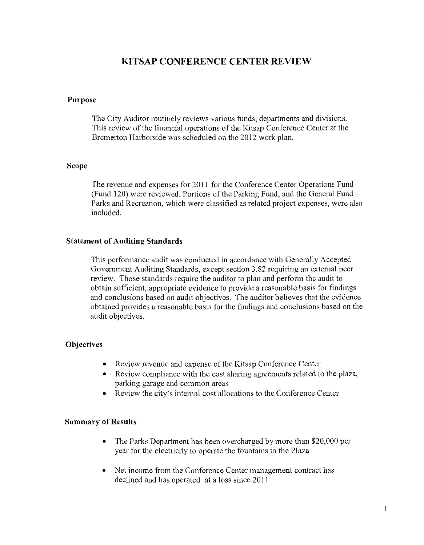# **KITSAP CONFERENCE CENTER REVIEW**

#### **Purpose**

The City Auditor routinely reviews various funds, departments and divisions. This review of the financial operations of the Kitsap Conference Center at the Bremerton Harborside was scheduled on the 2012 work plan.

#### **Scope**

The revenue and expenses for 2011 for the Conference Center Operations Fund (Fund 120) were reviewed. Portions of the Parking Fund, and the General Fund-Parks and Recreation, which were classified as related project expenses, were also included.

#### **Statement of Auditing Standards**

This performance audit was conducted in accordance with Generally Accepted Govemment Auditing Standards, except section 3.82 requiring an external peer review. Those standards require the auditor to plan and perform the audit to obtain sufficient, appropriate evidence to provide a reasonable basis for findings and conclusions based on audit objectives. The auditor believes that the evidence obtained provides a reasonable basis for the findings and conclusions based on the audit objectives.

### **Objectives**

- Review revenue and expense of the Kitsap Conference Center
- Review compliance with the cost sharing agreements related to the plaza, parking garage and common areas
- Review the city's intema1 cost allocations to the Conference Center

### **Summary of Results**

- The Parks Department has been overcharged by more than \$20,000 per year for the electricity to operate the fountains in the Plaza
- Net income from the Conference Center management contract has declined and has operated at a loss since 2011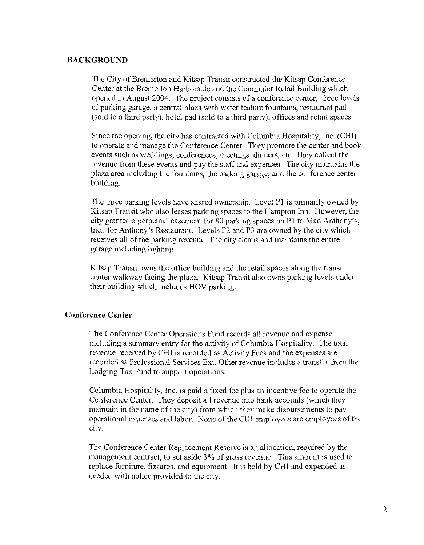## **BACKGROUND**

The City of Bremerton and Kitsap Transit constructed the Kitsap Conference Center at the Bremerton Harborside and the Commuter Retail Building which opened in August 2004. The project consists of a conference center, three levels of parking garage, a central plaza with water feature fountains, restaurant pad (sold to a third party), hotel pad (sold to a third party), offices and retail spaces.

Since the opening, the city has contracted with Columbia Hospitality, Inc. (CHI) to operate and manage the Conference Center. They promote the center and book events such as weddings, conferences, meetings, dinners, etc. They collect the revenue from these events and pay the staff and expenses. The city maintains the plaza area including the fountains, the parking garage, and the conference center building.

The three parking levels have shared ownership. Level Pl is primarily owned by Kitsap Transit who also leases parking spaces to the Hampton Inn. However, the city granted a perpetual easement for 80 parking spaces on Pl to Mad Anthony's, Inc., for Anthony's Restaurant. Levels P2 and P3 are owned by the city which receives all of the parking revenue. The city cleans and maintains the entire garage including lighting.

Kitsap Transit owns the office building and the retail spaces along the transit center walkway facing the plaza. Kitsap Transit also owns parking levels under their building which includes HOY parking.

# **Conference Center**

The Conference Center Operations Fund records all revenue and expense including a summary entry for the activity of Columbia Hospitality. The total revenue received by CHI is recorded as Activity Fees and the expenses are recorded as Professional Services Ext. Other revenue includes a transfer from the Lodging Tax Fund to support operations.

Columbia Hospitality, Inc. is paid a fixed fee plus an incentive fee to operate the Conference Center. They deposit all revenue into bank accounts (which they maintain in the name of the city) from which they make disbursements to pay operational expenses and labor. None of the CHI employees are employees of the city.

The Conference Center Replacement Reserve is an allocation, required by the management contract, to set aside 3% of gross revenue. This amount is used to replace furniture, fixtures, and equipment. It is held by CHI and expended as needed with notice provided to the city.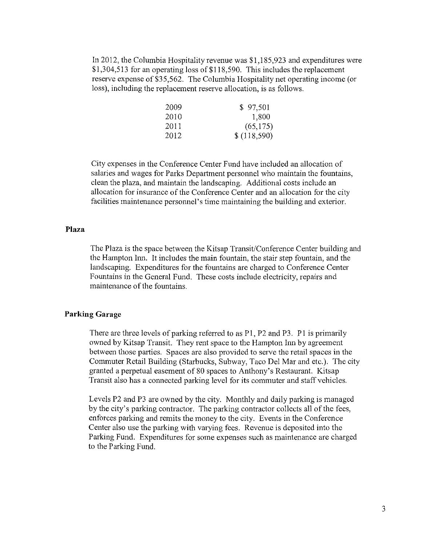In 2012, the Columbia Hospitality revenue was \$1,185,923 and expenditures were \$1,304,513 for an operating loss of \$118,590. This includes the replacement reserve expense of \$35,562. The Columbia Hospitality net operating income (or loss), including the replacement reserve allocation, is as follows.

| 2009 | \$97,501    |
|------|-------------|
| 2010 | 1,800       |
| 2011 | (65, 175)   |
| 2012 | \$(118,590) |

City expenses in the Conference Center Fund have included an allocation of salaries and wages for Parks Department personnel who maintain the fountains, clean the plaza, and maintain the landscaping. Additional costs include an allocation for insurance of the Conference Center and an allocation for the city facilities maintenance personnel's time maintaining the building and exterior.

#### **Plaza**

The Plaza is the space between the Kitsap Transit/Conference Center building and the Hampton Inn. It includes the main fountain, the stair step fountain, and the landscaping. Expenditures for the fountains are charged to Conference Center Fountains in the General Fund. These costs include electricity, repairs and maintenance of the fountains.

#### **Parking Garage**

There are three levels of parking referred to as P1, P2 and P3. P1 is primarily owned by Kitsap Transit. They rent space to the Hampton Inn by agreement between those parties. Spaces are also provided to serve the retail spaces in the Commuter Retail Building (Starbucks, Subway, Taco Del Mar and etc.). The city granted a perpetual easement of 80 spaces to Anthony's Restaurant. Kitsap Transit also has a connected parking level for its commuter and staff vehicles.

Levels P2 and P3 are owned by the city. Monthly and daily parking is managed by the city's parking contractor. The parking contractor collects all of the fees, enforces parking and remits the money to the city. Events in the Conference Center also use the parking with varying fees. Revenue is deposited into the Parking Fund. Expenditures for some expenses such as maintenance are charged to the Parking Fund.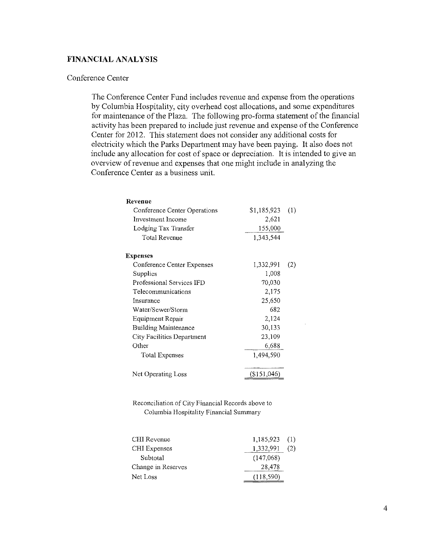## **FINANCIAL ANALYSIS**

#### Conference Center

The Conference Center Fund includes revenue and expense from the operations by Columbia Hospitality, city overhead cost allocations, and some expenditures for maintenance of the Plaza. The following pro-fonna statement of the financial activity has been prepared to include just revenue and expense of the Conference Center for 2012. This statement does not consider any additional costs for electricity which the Parks Department may have been paying. It also does not include any allocation for cost of space or depreciation. It is intended to give an overview of revenue and expenses that one might include in analyzing the Conference Center as a business unit.

| Revenue                      |             |     |
|------------------------------|-------------|-----|
| Conference Center Operations | \$1,185,923 | (1) |
| Investment Income            | 2,621       |     |
| Lodging Tax Transfer         | 155,000     |     |
| <b>Total Revenue</b>         | 1,343,544   |     |
| <b>Expenses</b>              |             |     |
| Conference Center Expenses   | 1,332,991   | (2) |
| Supplies                     | 1,008       |     |
| Professional Services IFD    | 70,030      |     |
| Telecommunications           | 2,175       |     |
| Insurance                    | 25,650      |     |
| Water/Sewer/Storm            | 682         |     |
| Equipment Repair             | 2,124       |     |
| Building Maintenance         | 30,133      |     |
| City Facilities Department   | 23,109      |     |
| Other                        | 6,688       |     |
| <b>Total Expenses</b>        | 1,494,590   |     |
| Net Operating Loss           | (\$151,046) |     |

**Reconciliation of City Financial Records above to Columbia Hospitality Financial Summary** 

| CHI Revenue         | $1,185,923$ (1) |     |
|---------------------|-----------------|-----|
| <b>CHI</b> Expenses | 1,332,991       | (2) |
| Subtotal            | (147.068)       |     |
| Change in Reserves  | 28,478          |     |
| Net Loss            | (118,590)       |     |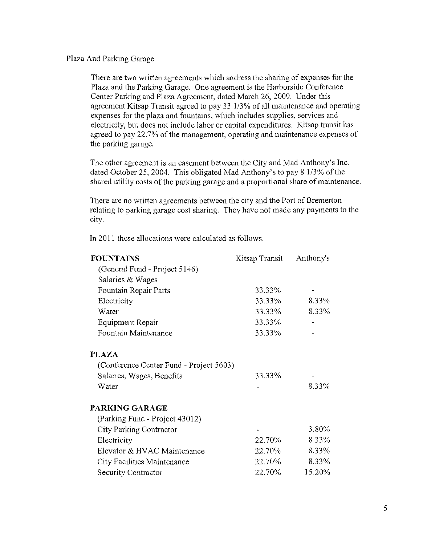Plaza And Parking Garage

There are two written agreements which address the sharing of expenses for the Plaza and the Parking Garage. One agreement is the Harborside Conference Center Parking and Plaza Agreement, dated March 26, 2009. Under this agreement Kitsap Transit agreed to pay 33 113% of all maintenance and operating expenses for the plaza and fountains, which includes supplies, services and electricity, but does not include labor or capital expenditures. Kitsap transit has agreed to pay 22.7% of the management, operating and maintenance expenses of the parking garage.

The other agreement is an easement between the City and Mad Anthony's Inc. dated October 25, 2004. This obligated Mad Anthony's to pay 8 1/3% of the shared utility costs of the parking garage and a proportional share of maintenance.

There are no written agreements between the city and the Port of Bremerton relating to parking garage cost sharing. They have not made any payments to the city.

In 2011 these allocations were calculated as follows.

| <b>FOUNTAINS</b>                        | Kitsap Transit | Anthony's |  |
|-----------------------------------------|----------------|-----------|--|
| (General Fund - Project 5146)           |                |           |  |
| Salaries & Wages                        |                |           |  |
| Fountain Repair Parts                   | 33.33%         |           |  |
| Electricity                             | 33.33%         | 8.33%     |  |
| Water                                   | 33.33%         | 8.33%     |  |
| <b>Equipment Repair</b>                 | 33.33%         |           |  |
| Fountain Maintenance                    | 33.33%         |           |  |
| PLAZA                                   |                |           |  |
| (Conference Center Fund - Project 5603) |                |           |  |
| Salaries, Wages, Benefits               | 33.33%         |           |  |
| Water                                   |                | 8.33%     |  |
| PARKING GARAGE                          |                |           |  |
| (Parking Fund - Project 43012)          |                |           |  |
| City Parking Contractor                 |                | 3.80%     |  |
| Electricity                             | 22.70%         | 8.33%     |  |
| Elevator & HVAC Maintenance             | 22.70%         | 8.33%     |  |
| City Facilities Maintenance             | 22.70%         | 8.33%     |  |
| Security Contractor                     | 22.70%         | 15.20%    |  |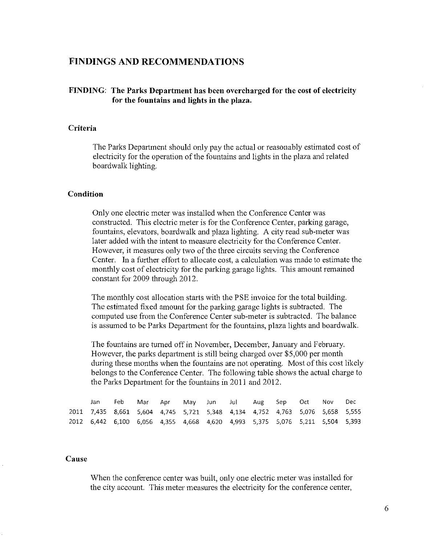# **FINDINGS AND RECOMMENDATIONS**

## **FINDING: The Parks Department has been overcharged for the cost of electricity for the fountains and lights in the plaza.**

#### **Criteria**

The Parks Department should only pay the actual or reasonably estimated cost of electricity for the operation of the fountains and lights in the plaza and related boardwalk lighting.

#### **Condition**

Only one electric meter was installed when the Conference Center was constructed. This electric meter is for the Conference Center, parking garage, fountains, elevators, boardwalk and plaza lighting. A city read sub-meter was later added with the intent to measure electricity for the Conference Center. However, it measures only two of the three circuits serving the Conference Center. In a further effort to allocate cost, a calculation was made to estimate the monthly cost of electricity for the parking garage lights. This amount remained constant for 2009 through 2012.

The monthly cost allocation starts with the PSE invoice for the total building. The estimated fixed amount for the parking garage lights is subtracted. The computed use from the Conference Center sub-meter is subtracted. The balance is assumed to be Parks Depatiment for the fountains, plaza lights and boardwalk.

The fountains are turned off in November, December, January and February. However, the parks depatiment is still being charged over \$5,000 per month during these months when the fountains are not operating. Most of this cost likely belongs to the Conference Center. The following table shows the actual charge to the Parks Depatiment for the fountains in 2011 and 2012.

| Jan                                                                          | Feb |  | Mar Apr May Jun Jul Aug Sep Oct Nov Dec |  |  |  |  |
|------------------------------------------------------------------------------|-----|--|-----------------------------------------|--|--|--|--|
| 2011 7,435 8,661 5,604 4,745 5,721 5,348 4,134 4,752 4,763 5,076 5,658 5,555 |     |  |                                         |  |  |  |  |
| 2012 6,442 6,100 6,056 4,355 4,668 4,620 4,993 5,375 5,076 5,211 5,504 5,393 |     |  |                                         |  |  |  |  |

#### **Cause**

When the conference center was built, only one electric meter was installed for the city account. This meter measures the electricity for the conference center,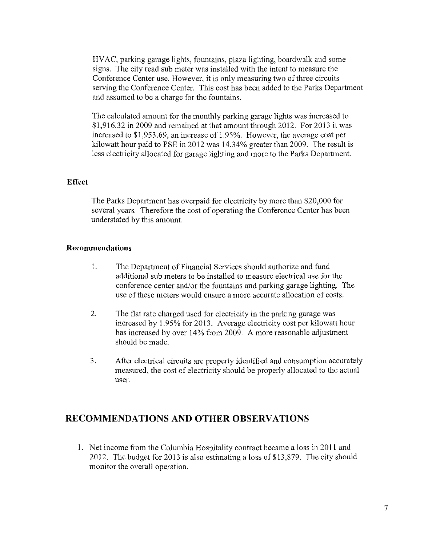HV AC, parking garage lights, fountains, plaza lighting, boardwalk and some signs. The city read sub meter was installed with the intent to measure the Conference Center use. However, it is only measuring two of three circuits serving the Conference Center. This cost has been added to the Parks Department and assumed to be a charge for the fountains.

The calculated amount for the monthly parking garage lights was increased to \$1,916.32 in 2009 and remained at that amount through 2012. For 2013 it was increased to \$1 ,953.69, an increase of 1.95%. However, the average cost per kilowatt hour paid to PSE in 2012 was 14.34% greater than 2009. The result is Jess electricity allocated for garage lighting and more to the Parks Department.

#### **Effect**

The Parks Department has overpaid for electricity by more than \$20,000 for several years. Therefore the cost of operating the Conference Center has been understated by this amount.

#### **Recommendations**

- 1. The Department of Financial Services should authorize and fund additional sub meters to be installed to measure electrical use for the conference center and/or the fountains and parking garage lighting. The use of these meters would ensure a more accurate allocation of costs.
- 2. The flat rate charged used for electricity in the parking garage was increased by 1.95% for 2013. Average electricity cost per kilowatt hour has increased by over 14% from 2009. A more reasonable adjustment should be made.
- 3. After electrical circuits are property identified and consumption accurately measured, the cost of electricity should be properly allocated to the actual user.

# **RECOMMENDATIONS AND OTHER OBSERVATIONS**

1. Net income from the Columbia Hospitality contract became a Joss in 2011 and 2012. The budget for 2013 is also estimating a loss of \$13,879. The city should monitor the overall operation.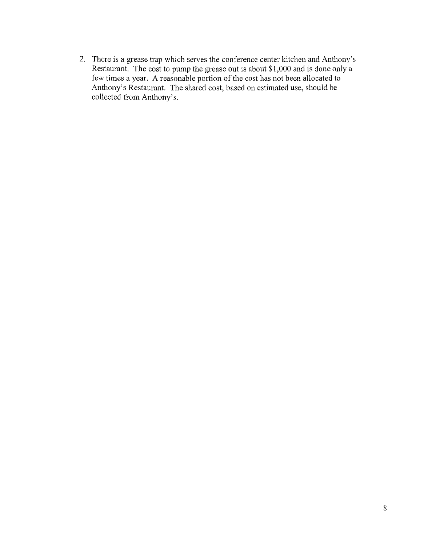2. There is a grease trap which serves the conference center kitchen and Anthony's Restaurant. The cost to pump the grease out is about \$1,000 and is done only a few times a year. A reasonable portion of the cost has not been allocated to Anthony's Restaurant. The shared cost, based on estimated use, should be collected from Anthony's.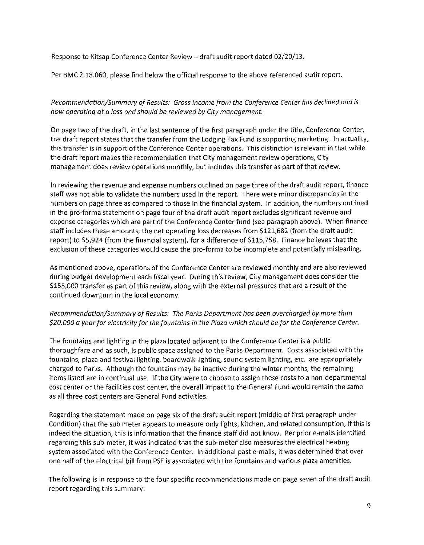Response to Kitsap Conference Center Review- draft audit report dated 02/20/13.

Per BMC 2.18.060, please find below the official response to the above referenced audit report.

*Recommendation/Summary of Results: Gross income from the Conference Center has declined and is now operating at a loss and should be reviewed by City management.* 

On page two of the draft, in the last sentence of the first paragraph under the title, Conference Center, the draft report states that the transfer from the Lodging Tax Fund is supporting marketing. In actuality, this transfer is in support of the Conference Center operations. This distinction is relevant in that while the draft report makes the recommendation that City management review operations, City management does review operations monthly, but includes this transfer as part of that review.

In reviewing the revenue and expense numbers outlined on page three of the draft audit report, finance staff was not able to validate the numbers used in the report. There were minor discrepancies in the numbers on page three as compared to those in the financial system. In addition, the numbers outlined in the pro-forma statement on page four of the draft audit report excludes significant revenue and expense categories which are part of the Conference Center fund (see paragraph above). When finance staff includes these amounts, the net operating loss decreases from \$121,682 (from the draft audit report) to \$5,924 (from the financial system), for a difference of \$115,758. Finance believes that the exclusion of these categories would cause the pro-forma to be incomplete and potentially misleading.

As mentioned above, operations of the Conference Center are reviewed monthly and are also reviewed during budget development each fiscal year. During this review, City management does consider the \$155,000 transfer as part of this review, along with the external pressures that are a result of the continued downturn in the local economy.

### *Recommendation/Summary of Results: The Parks Department has been overcharged by more than \$20,000 a year jar electricity jar the fountains in the Plaza which should be for the Conference Center.*

The fountains and lighting in the plaza located adjacent to the Conference Center is a public thoroughfare and as such, is public space assigned to the Parks Department. Costs associated with the fountains, plaza and festival lighting, boardwalk lighting, sound system lighting, etc. are appropriately charged to Parks. Although the fountains may be inactive during the winter months, the remaining items listed are in continual use. If the City were to choose to assign these costs to a non-departmental cost center or the facilities cost center, the overall impact to the General Fund would remain the same as all three cost centers are General Fund activities.

Regarding the statement made on page six of the draft audit report (middle of first paragraph under Condition) that the sub meter appears to measure only lights, kitchen, and related consumption, if this is indeed the situation, this is information that the finance staff did not know. Per prior e-mails identified regarding this sub-meter, it was indicated that the sub-meter also measures the electrical heating system associated with the Conference Center. In additional paste-mails, it was determined that over one half of the electrical bill from PSE is associated with the fountains and various plaza amenities.

The following is in response to the four specific recommendations made on page seven of the draft audit report regarding this summary: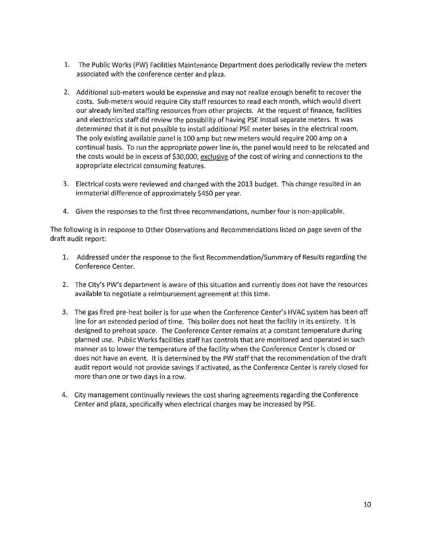- 1. The Public Works (PW) Facilities Maintenance Department does periodically review the meters associated with the conference center and plaza.
- 2. Additional sub-meters would be expensive and may not realize enough benefit to recover the costs. Sub-meters would require City staff resources to read each month, which would divert our already limited staffing resources from other projects. At the request of finance, facilities and electronics staff did review the possibility of having PSE install separate meters. It was determined that it is not possible to install additional PSE meter bases in the electrical room. The only existing available panel is 100 amp but new meters would require 200 amp on a continual basis. To run the appropriate power line in, the panel would need to be relocated and the costs would be in excess of \$30,000, exclusive of the cost of wiring and connections to the appropriate electrical consuming features.
- 3. Electrical costs were reviewed and changed with the 2013 budget. This change resulted in an immaterial difference of approximately \$450 per year.
- 4. Given the responses to the first three recommendations, number four is non-applicable.

The following is in response to Other Observations and Recommendations listed on page seven of the draft audit report:

- 1. Addressed under the response to the first Recommendation/Summary of Results regarding the Conference Center.
- 2. The City's PW's department is aware of this situation and currently does not have the resources available to negotiate a reimbursement agreement at this time.
- 3. The gas fired pre-heat boiler is for use when the Conference Center's HVAC system has been off line for an extended period of time. This boiler does not heat the facility in its entirety. It is designed to preheat space. The Conference Center remains at a constant temperature during planned use. Public Works facilities staff has controls that are monitored and operated in such manner as to lower the temperature of the facility when the Conference Center is closed or does not have an event. It is determined by the PW staff that the recommendation of the draft audit report would not provide savings if activated, as the Conference Center is rarely closed for more than one or two days in a row.
- 4. City management continually reviews the cost sharing agreements regarding the Conference Center and plaza, specifically when electrical charges may be increased by PSE.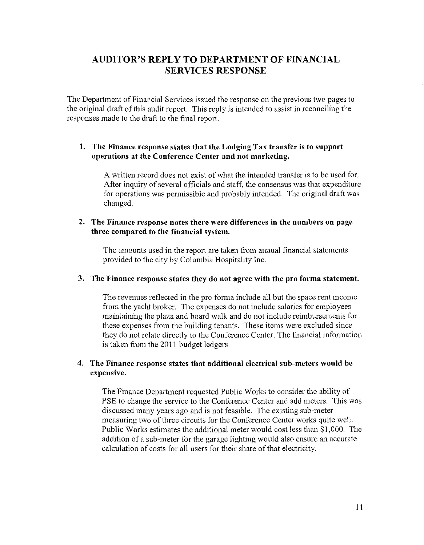# **AUDITOR'S REPLY TO DEPARTMENT OF FINANCIAL SERVICES RESPONSE**

The Department of Financial Services issued the response on the previous two pages to the original draft of this audit report. This reply is intended to assist in reconciling the responses made to the draft to the final report.

## **I. The Finance response states that the Lodging Tax transfer is to support operations at the Conference Center and not marketing.**

A written record does not exist of what the intended transfer is to be used for. After inquiry of several officials and staff; the consensus was that expenditure for operations was permissible and probably intended. The original draft was changed.

## **2. The Finance response notes there were differences in the numbers on page three compared to the financial system.**

The amounts used in the report are taken from annual financial statements provided to the city by Columbia Hospitality Inc.

### **3. The Finance response states they do not agree with the pro forma statement.**

The revenues reflected in the pro forma include all but the space rent income from the yacht broker. The expenses do not include salaries for employees maintaining the plaza and board walk and do not include reimbursements for these expenses from the building tenants. These items were excluded since they do not relate directly to the Conference Center. The financial infonnation is taken from the 2011 budget ledgers

## **4. The Finance response states that additional electrical sub-meters would be expensive.**

The Finance Department requested Public Works to consider the ability of PSE to change the service to the Conference Center and add meters. This was discussed many years ago and is not feasible. The existing sub-meter measuring two of three circuits for the Conference Center works quite well. Public Works estimates the additional meter would cost less than \$1,000. The addition of a sub-meter for the garage lighting would also ensure an accurate calculation of costs for all users for their share of that electricity.